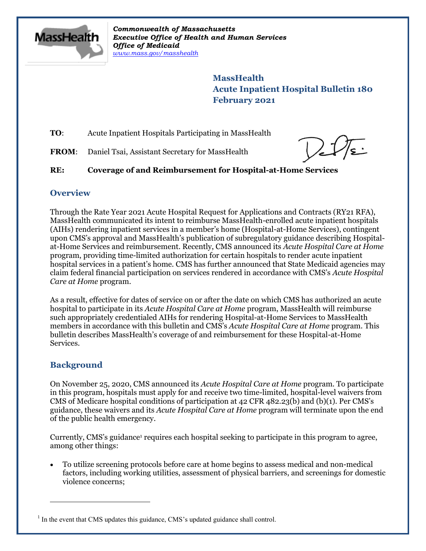

*Commonwealth of Massachusetts Executive Office of Health and Human Services Office of Medicaid [www.mass.gov/masshealth](http://www.mass.gov/masshealth)*

> **MassHealth Acute Inpatient Hospital Bulletin 180 February 2021**

**TO**: Acute Inpatient Hospitals Participating in MassHealth

**FROM:** Daniel Tsai, Assistant Secretary for MassHealth

## **RE: Coverage of and Reimbursement for Hospital-at-Home Services**

### **Overview**

Through the Rate Year 2021 Acute Hospital Request for Applications and Contracts (RY21 RFA), MassHealth communicated its intent to reimburse MassHealth-enrolled acute inpatient hospitals (AIHs) rendering inpatient services in a member's home (Hospital-at-Home Services), contingent upon CMS's approval and MassHealth's publication of subregulatory guidance describing Hospitalat-Home Services and reimbursement. Recently, CMS announced its *Acute Hospital Care at Home* program, providing time-limited authorization for certain hospitals to render acute inpatient hospital services in a patient's home. CMS has further announced that State Medicaid agencies may claim federal financial participation on services rendered in accordance with CMS's *Acute Hospital Care at Home* program.

As a result, effective for dates of service on or after the date on which CMS has authorized an acute hospital to participate in its *Acute Hospital Care at Home* program, MassHealth will reimburse such appropriately credentialed AIHs for rendering Hospital-at-Home Services to MassHealth members in accordance with this bulletin and CMS's *Acute Hospital Care at Home* program. This bulletin describes MassHealth's coverage of and reimbursement for these Hospital-at-Home Services.

## **Background**

 $\overline{a}$ 

On November 25, 2020, CMS announced its *Acute Hospital Care at Home* program. To participate in this program, hospitals must apply for and receive two time-limited, hospital-level waivers from CMS of Medicare hospital conditions of participation at 42 CFR 482.23(b) and (b)(1). Per CMS's guidance, these waivers and its *Acute Hospital Care at Home* program will terminate upon the end of the public health emergency.

Currently, CMS's guidance<sup>1</sup> requires each hospital seeking to participate in this program to agree, among other things:

 To utilize screening protocols before care at home begins to assess medical and non-medical factors, including working utilities, assessment of physical barriers, and screenings for domestic violence concerns;

<sup>&</sup>lt;sup>1</sup> In the event that CMS updates this guidance, CMS's updated guidance shall control.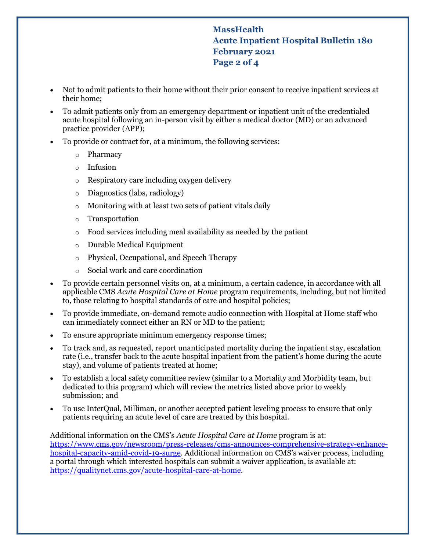# **MassHealth Acute Inpatient Hospital Bulletin 180 February 2021 Page 2 of 4**

- Not to admit patients to their home without their prior consent to receive inpatient services at their home;
- To admit patients only from an emergency department or inpatient unit of the credentialed acute hospital following an in-person visit by either a medical doctor (MD) or an advanced practice provider (APP);
- To provide or contract for, at a minimum, the following services:
	- o Pharmacy
	- o Infusion
	- o Respiratory care including oxygen delivery
	- o Diagnostics (labs, radiology)
	- o Monitoring with at least two sets of patient vitals daily
	- o Transportation
	- o Food services including meal availability as needed by the patient
	- o Durable Medical Equipment
	- o Physical, Occupational, and Speech Therapy
	- o Social work and care coordination
- To provide certain personnel visits on, at a minimum, a certain cadence, in accordance with all applicable CMS *Acute Hospital Care at Home* program requirements, including, but not limited to, those relating to hospital standards of care and hospital policies;
- To provide immediate, on-demand remote audio connection with Hospital at Home staff who can immediately connect either an RN or MD to the patient;
- To ensure appropriate minimum emergency response times;
- To track and, as requested, report unanticipated mortality during the inpatient stay, escalation rate (i.e., transfer back to the acute hospital inpatient from the patient's home during the acute stay), and volume of patients treated at home;
- To establish a local safety committee review (similar to a Mortality and Morbidity team, but dedicated to this program) which will review the metrics listed above prior to weekly submission; and
- To use InterQual, Milliman, or another accepted patient leveling process to ensure that only patients requiring an acute level of care are treated by this hospital.

Additional information on the CMS's *Acute Hospital Care at Home* program is at: [https://www.cms.gov/newsroom/press-releases/cms-announces-comprehensive-strategy-enhance](https://www.cms.gov/newsroom/press-releases/cms-announces-comprehensive-strategy-enhance-hospital-capacity-amid-covid-19-surge)[hospital-capacity-amid-covid-19-surge.](https://www.cms.gov/newsroom/press-releases/cms-announces-comprehensive-strategy-enhance-hospital-capacity-amid-covid-19-surge) Additional information on CMS's waiver process, including a portal through which interested hospitals can submit a waiver application, is available at: [https://qualitynet.cms.gov/acute-hospital-care-at-home.](https://qualitynet.cms.gov/acute-hospital-care-at-home)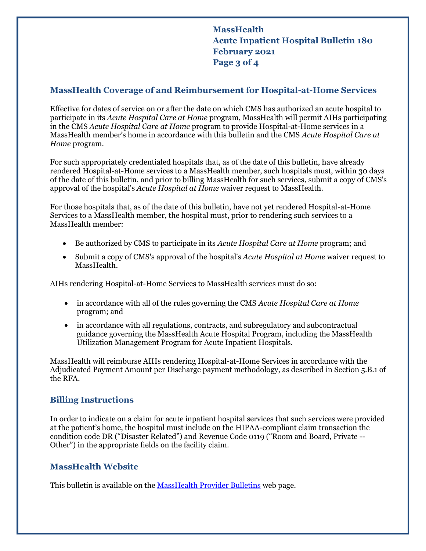**MassHealth Acute Inpatient Hospital Bulletin 180 February 2021 Page 3 of 4**

### **MassHealth Coverage of and Reimbursement for Hospital-at-Home Services**

Effective for dates of service on or after the date on which CMS has authorized an acute hospital to participate in its *Acute Hospital Care at Home* program, MassHealth will permit AIHs participating in the CMS *Acute Hospital Care at Home* program to provide Hospital-at-Home services in a MassHealth member's home in accordance with this bulletin and the CMS *Acute Hospital Care at Home* program.

For such appropriately credentialed hospitals that, as of the date of this bulletin, have already rendered Hospital-at-Home services to a MassHealth member, such hospitals must, within 30 days of the date of this bulletin, and prior to billing MassHealth for such services, submit a copy of CMS's approval of the hospital's *Acute Hospital at Home* waiver request to MassHealth.

For those hospitals that, as of the date of this bulletin, have not yet rendered Hospital-at-Home Services to a MassHealth member, the hospital must, prior to rendering such services to a MassHealth member:

- Be authorized by CMS to participate in its *Acute Hospital Care at Home* program; and
- Submit a copy of CMS's approval of the hospital's *Acute Hospital at Home* waiver request to MassHealth.

AIHs rendering Hospital-at-Home Services to MassHealth services must do so:

- in accordance with all of the rules governing the CMS *Acute Hospital Care at Home* program; and
- in accordance with all regulations, contracts, and subregulatory and subcontractual guidance governing the MassHealth Acute Hospital Program, including the MassHealth Utilization Management Program for Acute Inpatient Hospitals.

MassHealth will reimburse AIHs rendering Hospital-at-Home Services in accordance with the Adjudicated Payment Amount per Discharge payment methodology, as described in Section 5.B.1 of the RFA.

## **Billing Instructions**

In order to indicate on a claim for acute inpatient hospital services that such services were provided at the patient's home, the hospital must include on the HIPAA-compliant claim transaction the condition code DR ("Disaster Related") and Revenue Code 0119 ("Room and Board, Private -- Other") in the appropriate fields on the facility claim.

#### **MassHealth Website**

This bulletin is available on th[e MassHealth Provider Bulletins](http://www.mass.gov/masshealth-provider-bulletins) web page.